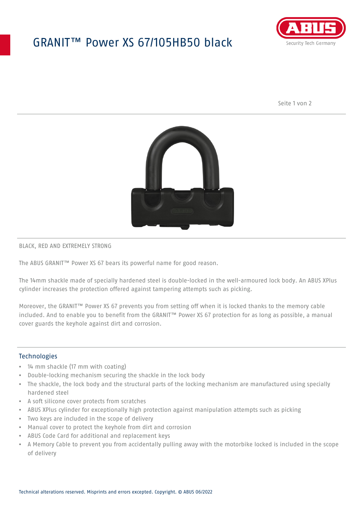## GRANIT™ Power XS 67/105HB50 black



Seite 1 von 2



#### BLACK, RED AND EXTREMELY STRONG

The ABUS GRANIT™ Power XS 67 bears its powerful name for good reason.

The 14mm shackle made of specially hardened steel is double-locked in the well-armoured lock body. An ABUS XPlus cylinder increases the protection offered against tampering attempts such as picking.

Moreover, the GRANIT™ Power XS 67 prevents you from setting off when it is locked thanks to the memory cable included. And to enable you to benefit from the GRANIT™ Power XS 67 protection for as long as possible, a manual cover guards the keyhole against dirt and corrosion.

### **Technologies**

- 14 mm shackle (17 mm with coating)
- Double-locking mechanism securing the shackle in the lock body
- The shackle, the lock body and the structural parts of the locking mechanism are manufactured using specially hardened steel
- A soft silicone cover protects from scratches
- ABUS XPlus cylinder for exceptionally high protection against manipulation attempts such as picking
- Two keys are included in the scope of delivery
- Manual cover to protect the keyhole from dirt and corrosion
- ABUS Code Card for additional and replacement keys
- A Memory Cable to prevent you from accidentally pulling away with the motorbike locked is included in the scope of delivery